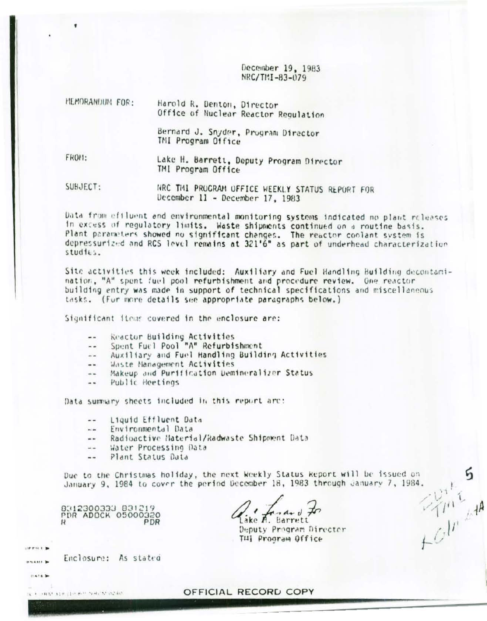December 19, 1983 NRC/TMI-83-079

| MEMORANDUM FOR: | Harold R. Denton, Director |                                      |
|-----------------|----------------------------|--------------------------------------|
|                 |                            | Office of Nuclear Reactor Regulation |

Bernard J. Snyder, Program Director TMI Program Office

FROM:

 $\blacksquare$ 

Lake H. Barrett, Deputy Program Director TMI Program Office

SUBJECT: NRC THI PROGRAM OFFICE WEEKLY STATUS REPORT FOR December 11 - December 17, 1983

Data from efiluent and environmental monitoring systems indicated no plant releases in excess of regulatory limits. Waste shipments continued on a routine basis. Plant parameters showed no significant changes. The reactor coolant system is depressurized and RCS level remains at 321'6" as part of underhead characterization  $studte3.$ 

Site activities this week included: Auxiliary and Fuel Handling Building decontamination, "A" spent fuel pool refurbishment and procedure review. One reactor building entry was made in support of technical specifications and miscellaneous tasks. (For more details see appropriate paragraphs below.)

Significant items covered in the enclosure are:

- Reactor Building Activities  $\sim$
- Spent Fuel Pool "A" Refurbishment الله الله
- Auxiliary and Fuel Handling Building Activities  $\frac{1}{2}$
- Waste Nanagement Activities  $\overline{a}$
- Makeup and Purification Demineralizer Status  $\overline{a}$
- Public Heetings  $-1$

Data summary sheets included in this report arc:

- Liquid Ettluent Data  $\sim$   $\sim$
- Environmental Data  $...$
- Radioactive Haterial/Radwaste Shipment Data  $-$
- Water Processing Data  $-1$
- Plant Status Data  $- -$

 $72r^{2}$ Due to the Christmas holiday, the next Weekly Status Report will be issued on January 9, 1984 to cover the period December 18, 1983 through January 7, 1984.

OFFICIAL RECORD COPY

8312300333 831219 PDR ADOCK 05000320 PDR

Enclosure: As stated

ICA HRAT ALB (10) 800 NHL M D240.

 $\mathbf{F}$ 

 $uxx$ DATE 3

Lake A. Barrett

Deputy Program Director THI Program Office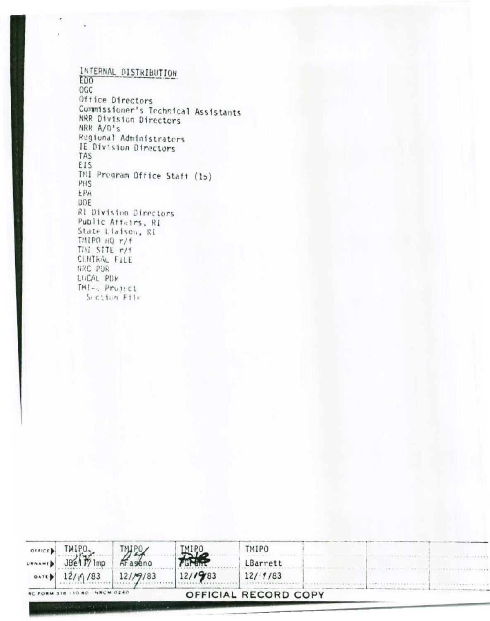INTERNAL DISTRIBUTION ED<sub>0</sub> OGC Office Directors Commissioner's Technical Assistants NRR Division Directors NRR A/D's Regional Administrators IE Division Directors TAS **EIS** TMI Pregram Office Staff (15) PHS EPA **DOE** Rl Division Directors Public Attairs, RI State Liaison, RI  $TMIPO<sub>HQ</sub> r/f$ THI SITE r/f CLNTKAL FILE NRC PDR LUCAL PDR TMI-c Project Section File

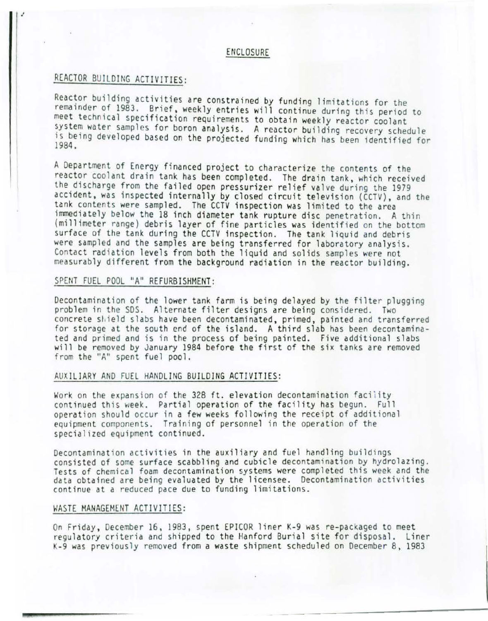#### ENCLOSURE

# REACTOR BUILDING ACTIVITIES:

I

Reactor building activities are constrained by funding limitations for the remainder of 1983. Brief, weekly entries will continue during this period to meet technical specification requirements to obtain weekly reactor coolant system water samples for boron analysis. A reactor building recovery schedule is being developed based on the projected funding which has been identified for 1984.

A Department of Energy financed project to characterize the contents of the reactor coolant drain tank has been completed. The drain tank, which received the discharge from the failed open pressurizer relief valve during the 1979 accident, was inspected internally by closed circuit television (CCTV), and the tank contents were sampled. The CCTV inspection was limited to the area immediately below the 18 inch diameter tank rupture disc penetration. A thin (millimeter range) debris layer of fine particles was identified on the bottom surface of the tank during the CCTV inspection. The tank liquid and debris were sampled and the samples are being transferred for laboratory analysis. Contact radiation levels from both the liquid and solids samples were not measurably different from the background radiation in the reactor building.

## SPENT FUEL POOL "A" REFURBISHMENT:

Decontamination of the lower tank farm is being delayed by the filter plugging problem in the SDS. Alternate filter designs are being considered. Two concrete shield slabs have been decontaminated, primed, painted and transferred for storage at the south end of the island. A third slab has been decontaminated and primed and is in the process of being painted. Five additional slabs will be removed by January 1984 before the first of the six tanks are removed from the "A" spent fuel pool.

#### AUXILIARY AND FUEL HANDLING BUILDING ACTIVITIES:

Work on the expansion of the 328 ft. elevation decontamination facility continued this week. Partial operation of the facility has begun. Full operation should occur in a few weeks following the receipt of additional equipment components. Training of personnel in the operation of the specialized equipment continued.

Decontamination activities in the auxiliary and fuel handling buildings<br>consisted of some surface scabbling and cubicle decontamination by hydrolazing. Tests of chemical foam decontamination systems were completed this week and the data obtained are being evaluated by the licensee. Decontamination activities continue at a reduced pace due to funding limitations.

#### WASTE MANAGEMENT ACTIVITIES:

On Friday, December 16, 1983, spent EPICOR liner K-9 was re-packaged to meet regulatory criteria and shipped to the Hanford Burial site for disposal. Liner K-9 was previously removed from a waste shipment scheduled on December 8, 1983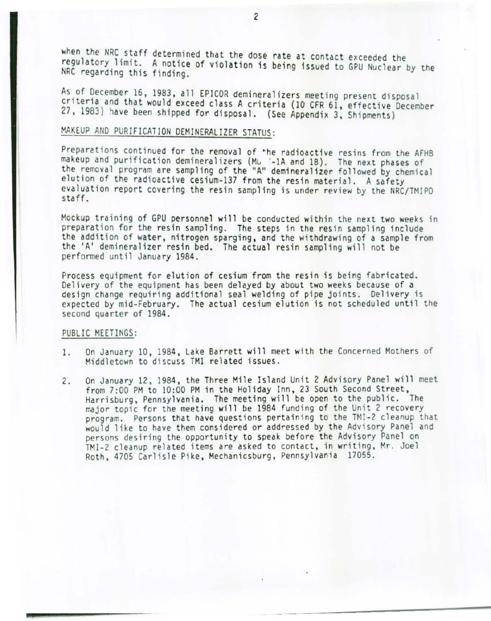when the NRC staff determined that the dose rate at contact exceeded the regulatory limit. A notice of violation is being issued to GPU Nuclear by the NRC regarding this finding.

As of December 16, 1983, all EPICOR demineralizers meeting present disposal<br>criteria and that would exceed class A criteria (10 CFR 61, effective December 27, 1983) have been shipped for disposal. (See Appendix 3, Shipments)

# MAKEUP AND PURIFICATION DEMINERALIZER STATUS:

Preparations continued for the removal of the radioactive resins from the AFHB makeup and purification demineralizers (Mu '-1A and 1B). The next phases of the removal program are sampling of the "A" demineralizer followed by chemical elution of the radioactive cesium-137 from the resin material. A safety evaluation report covering the resin sampling is under review by the NRC/TMIPO staff.

Mockup training of GPU personnel will be conducted within the next two weeks in prepara tion for the resin sampling. The steps in the resin sampling include the addition of water, nitrogen sparging, and the withdrawing of a sample from the 'A' demineralizer resin bed. The actual resin sampling will not be performed until January 1984.

Process equipment for elution of cesium from the resin is being fabricated.<br>Delivery of the equipment has been delayed by about two weeks because of a design change requiring additional seal welding of pipe joints. Delivery is expected by mid-February. The actual cesium elution is not scheduled until the second quarter of 1984 .

#### PUBLIC MEETINGS:

- 1. On January 10, 1984, Lake Barrett will meet with the Concerned Mothers of Middletown to discuss TMI related issues.
- 2. On January 12, 1984, the Three Mile Island Unit 2 Advisory Panel will meet from 7:00 PM to 10:00 PM in the Holiday Inn, 23 South Second Street, Harrisburg, Pennsylvania. The meeting will be open to the public. The major topic for the meeting will be 1984 funding of the Unit 2 recovery program. Persons that have questions pertaining to the TMI-2 cleanup that would like to have them considered or addressed by the Advisory Panel and persons desiring the opportunity to speak before the Advisory Panel on TMI-2 cleanup related items are asked to contact, in writing, Mr. Joel Roth, 4705 Carlisle Pike, Mechanicsburg, Pennsylvania 17055.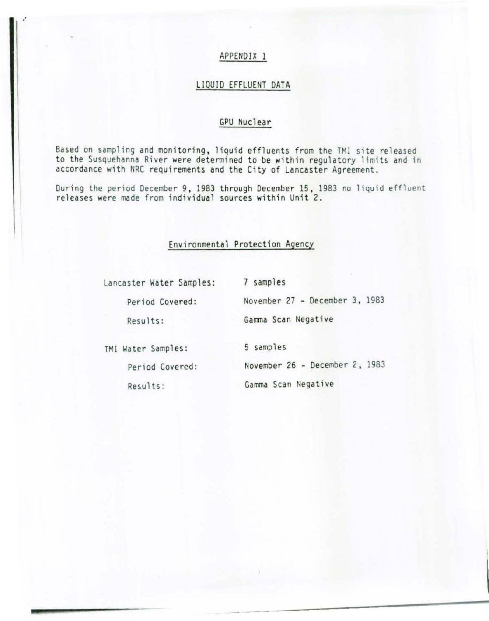.·

## LIQUID EFFLUENT DATA

## GPU Nuclear

Based on sampling and monitoring, liquid effluents from the TMI site released to the Susquehanna River were determined to be within regulatory limits and in accordance with NRC requirements and the City of Lancaster Agreement.

During the period December 9, 1983 through December 15, 1983 no liquid effluent releases were made from individual sources within Unit 2.

## Environmental Protection Agency

Lancaster Water Samples: 7 samples Period Covered: November 27 - December 3, 1983 Results: Gamma Scan Negative TMI Water Samples: 5 samples Period Covered: November 26 - December 2, 1983 Results: Gamma Scan Negative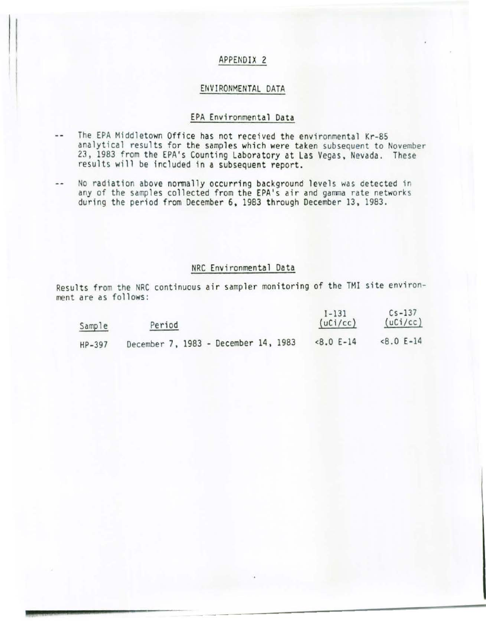#### ENVIRONMENTAL DATA

### EPA Environmental Data

- The EPA Middletown Office has not rece ived the environmental Kr-85 w. analytical results for the samples which were taken subsequent to November 23, 1983 from the EPA's Counting Laboratory at Las Vegas, Nevada. These results will be included in a subsequent report.
- No radiation above normally occurring background levels was detected in  $\cdots$ any of the samples collected from the EPA's air and gamma rate networks during the period from December 6, 1983 through December 13, 1983.

### NRC Environmental Data

Results from the NRC continuous air sampler monitoring of the TMI site environment are as follows:

| Sample   | Period                               | $1 - 131$<br>(uCi/cc) | $Cs - 137$<br>(uCi/cc) |
|----------|--------------------------------------|-----------------------|------------------------|
| $HP-397$ | December 7, 1983 - December 14, 1983 | $<8.0 E-14$           | $< 8.0 E - 14$         |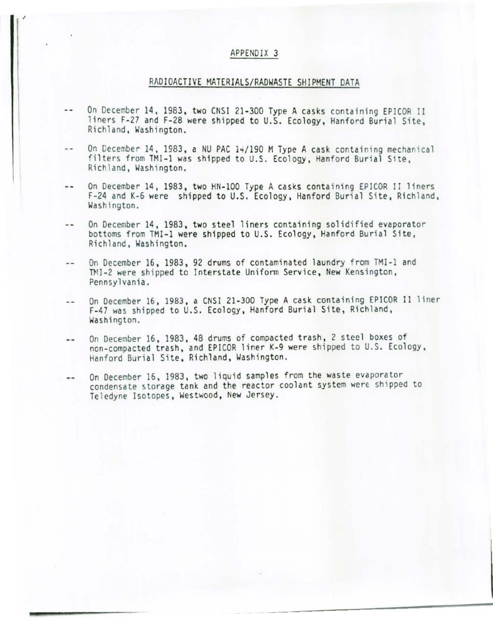### RAD IOACTIVE MATERIALS/RADWASTE SHIPMENT DATA

- On December 14, 1983, two CNSI 21-300 Type A casks containing EPICOR II  $-1$ liners F-27 and F-28 were shipped to U.S. Ecology, Hanford Burial Site, Richland, Washington.
- On December 14, 1983, a NU PAC 14/190 M Type A cask containing mechanical  $\frac{1}{2}$ filters from TMI-1 was shipped to U.S. Ecology , Hanford Burial Site, Richland, Washington.
- On December 14, 1983, two HN-100 Type A casks containing EPICOR II liners  $\sim$   $\sim$ F-24 and K-6 were shipped to U.S. Ecology, Hanford Burial Site, Richland, Washington.
- On December 14 , 1983, two steel liners containing solidified evaporator  $-$ bottoms from TMI-1 were shipped to U.S. Ecology, Hanford Burial Site, Richland, Washington.
- On December 16, 1983, 92 drums of contaminated laundry from TMI-1 and  $-1$ TMI-2 were shipped to Interstate Uniform Service, New Kensington,<br>Pennsylvania.
- On December 16, 1983, a CNSI 21-300 Type A cask containing EP ICOR II liner  $- -$ F-47 was shipped to U.S. Ecology, Hanford Burial Site, Richland, Washington.
- On December 16, 1983, 48 drums of compacted trash, 2 steel boxes of  $-$ non-compacted trash, and EPICOR liner K-9 were shipped to U.S. Ecology, Hanford Burial Site, Richland, Washington.
- On December 16, 1983, two liquid samples from the waste evaporator  $-1$ condensate storage tank and the reactor coolant system were shipped to Teledyne Isotopes, Westwood, New Jersey .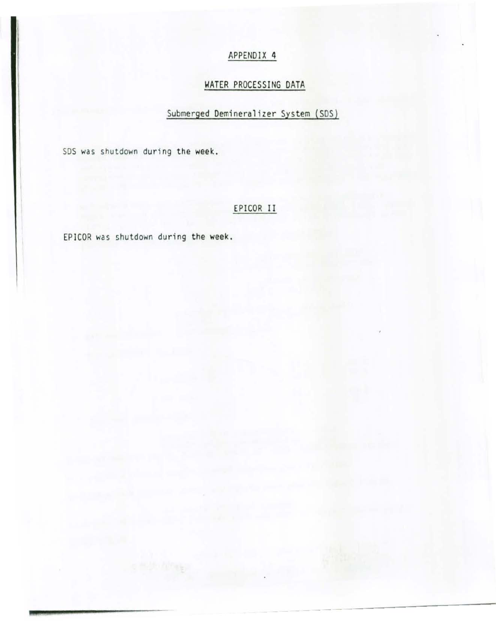# WATER PROCESSING DATA

# Submerged Demineralizer System (SDS)

SDS was shutdown during the week.

# EPICOR II

EPICOR was shutdown during the week.